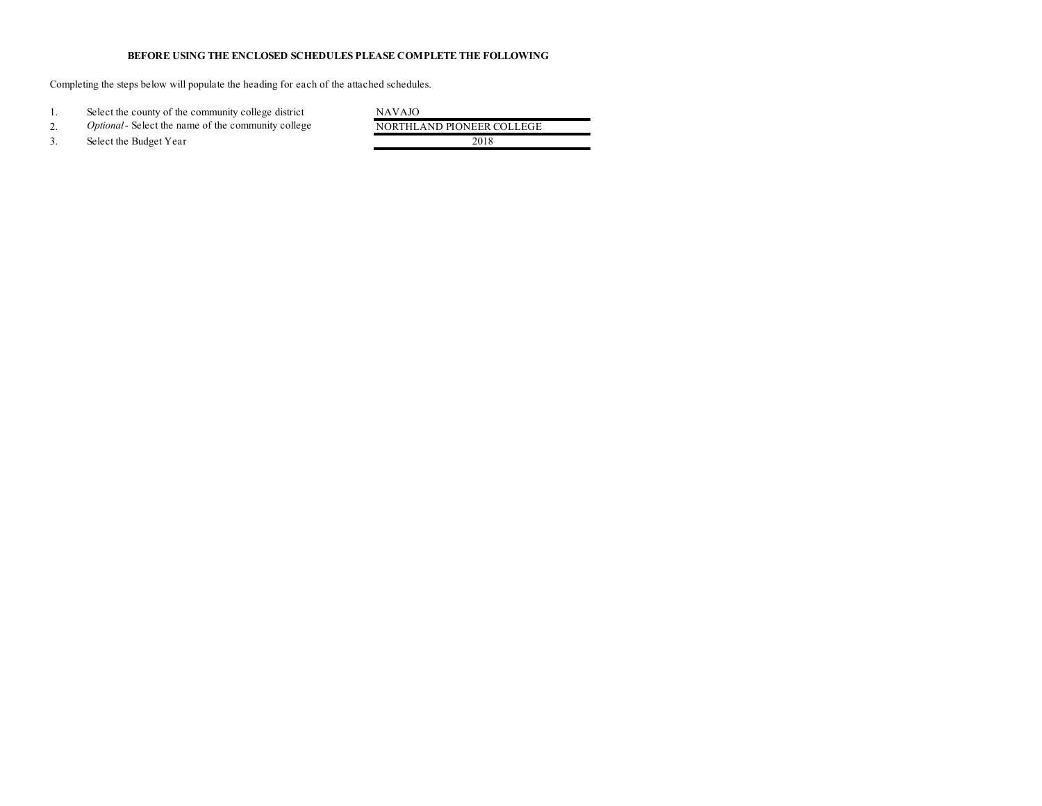## **BEFORE USING THE ENCLOSED SCHEDULES PLEASE COMPLETE THE FOLLOWING**

Completing the steps below will populate the heading for each of the attached schedules.

1. Select the county of the community college district<br>
2. Optional-Select the name of the community college NORTHLAND PIONEER COLLEGE 2. *Optional*- Select the name of the community college 3. Select the Budget Year 2018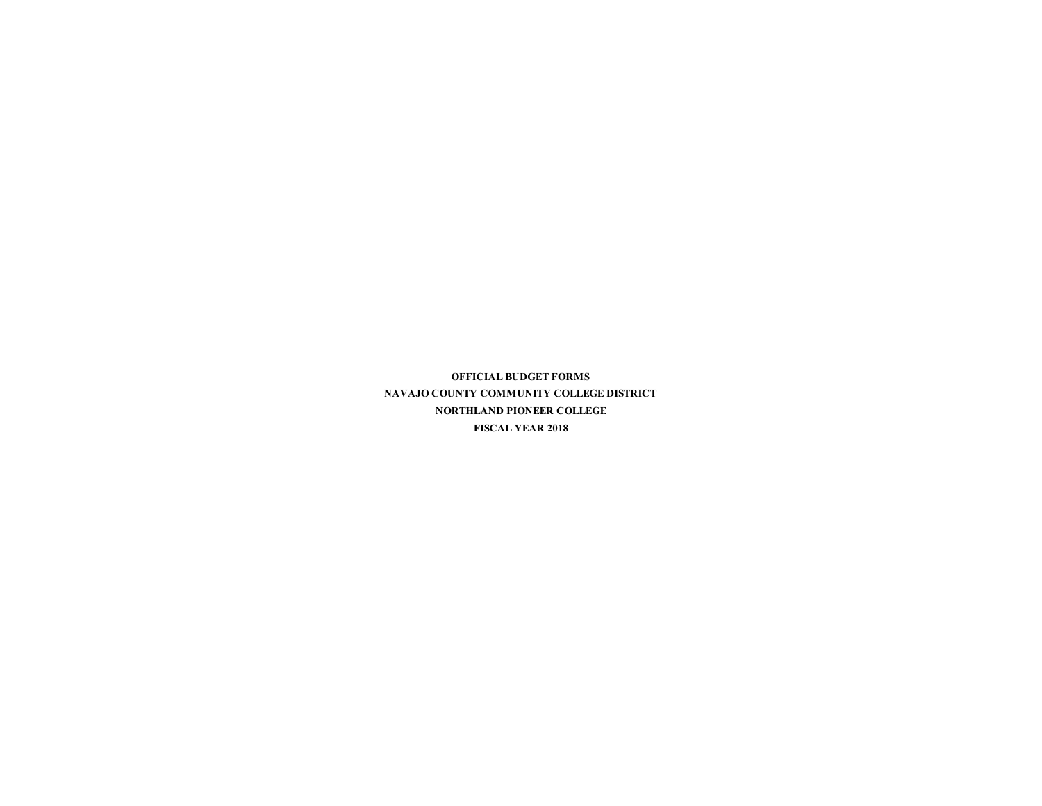**OFFICIAL BUDGET FORMS NAVAJO COUNTY COMMUNITY COLLEGE DISTRICT NORTHLAND PIONEER COLLEGE FISCAL YEAR 2018**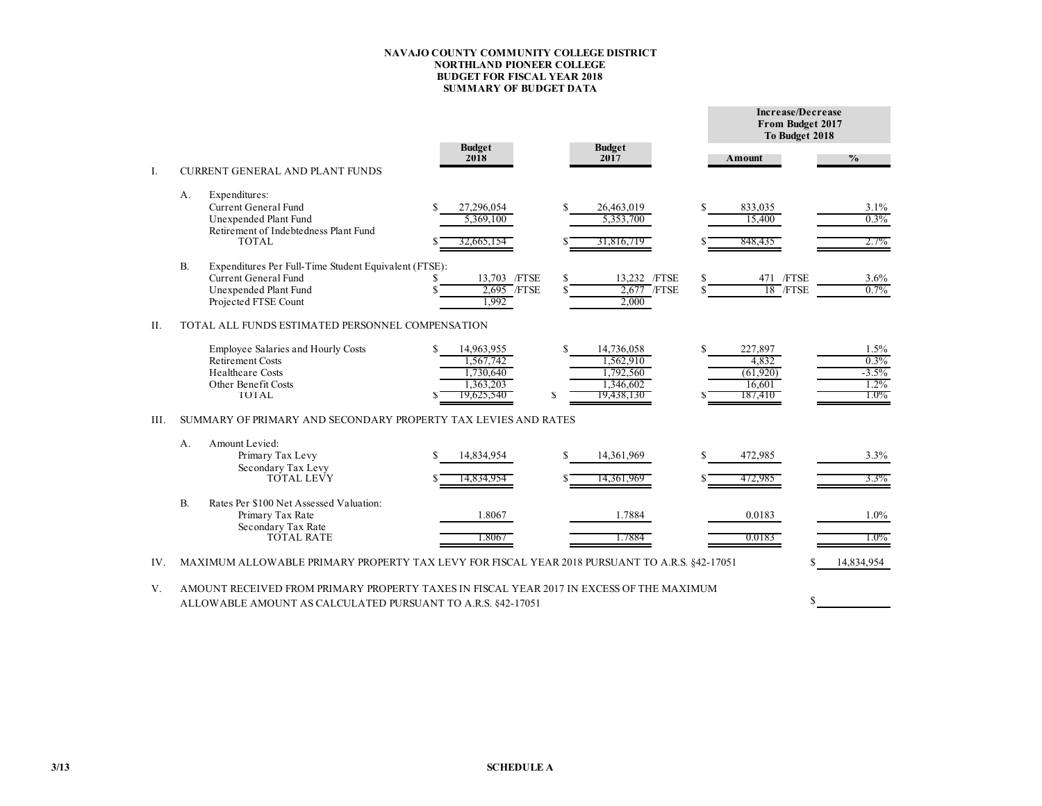## **NAVAJO COUNTY COMMUNITY COLLEGE DISTRICT NORTHLAND PIONEER COLLEGE BUDGET FOR FISCAL YEAR 2018 SUMMARY OF BUDGET DATA**

|      |                                                                |                                                                                                                                                         |  |                                                   |     |                                                   |   | Increase/Decrease<br>From Budget 2017<br>To Budget 2018 |                                    |  |  |  |  |  |
|------|----------------------------------------------------------------|---------------------------------------------------------------------------------------------------------------------------------------------------------|--|---------------------------------------------------|-----|---------------------------------------------------|---|---------------------------------------------------------|------------------------------------|--|--|--|--|--|
| I.   |                                                                | <b>CURRENT GENERAL AND PLANT FUNDS</b>                                                                                                                  |  | <b>Budget</b><br>2018                             |     | <b>Budget</b><br>2017                             |   | Amount                                                  | $\frac{0}{0}$                      |  |  |  |  |  |
|      | А.                                                             | Expenditures:<br>Current General Fund<br>Unexpended Plant Fund<br>Retirement of Indebtedness Plant Fund<br><b>TOTAL</b>                                 |  | 27,296,054<br>5.369.100<br>32,665,154             |     | 26,463,019<br>5.353.700<br>31,816,719             |   | 833,035<br>15.400<br>848,435                            | 3.1%<br>0.3%<br>2.7%               |  |  |  |  |  |
|      | $\mathbf{B}$                                                   | Expenditures Per Full-Time Student Equivalent (FTSE):<br>Current General Fund<br>Unexpended Plant Fund<br>Projected FTSE Count                          |  | 13,703 / FTSE<br>2.695 / FTSE<br>1.992            | \$  | 13.232 /FTSE<br>2,677 / FTSE<br>2.000             | S | 471 / FTSE<br>18 / FTSE                                 | 3.6%<br>$0.7\%$                    |  |  |  |  |  |
| II.  |                                                                | TOTAL ALL FUNDS ESTIMATED PERSONNEL COMPENSATION<br>Employee Salaries and Hourly Costs                                                                  |  | 14,963,955                                        | \$  | 14,736,058                                        |   | 227,897                                                 | 1.5%                               |  |  |  |  |  |
|      |                                                                | <b>Retirement Costs</b><br><b>Healthcare Costs</b><br>Other Benefit Costs<br>TOTAL                                                                      |  | 1,567,742<br>1.730.640<br>1.363.203<br>19,625,540 | S   | 1,562,910<br>1,792,560<br>1,346,602<br>19,438,130 |   | 4.832<br>(61,920)<br>16.601<br>187,410                  | 0.3%<br>$-3.5%$<br>1.2%<br>$1.0\%$ |  |  |  |  |  |
| III. | SUMMARY OF PRIMARY AND SECONDARY PROPERTY TAX LEVIES AND RATES |                                                                                                                                                         |  |                                                   |     |                                                   |   |                                                         |                                    |  |  |  |  |  |
|      | $A$ .                                                          | Amount Levied:<br>Primary Tax Levy<br>Secondary Tax Levy<br><b>TOTAL LEVY</b>                                                                           |  | 14,834,954<br>14,834,954                          | \$. | 14,361,969<br>14,361,969                          | S | 472,985<br>472,985                                      | 3.3%<br>$3.3\%$                    |  |  |  |  |  |
|      | $\mathbf{B}$                                                   | Rates Per \$100 Net Assessed Valuation:<br>Primary Tax Rate<br>Secondary Tax Rate<br><b>TOTAL RATE</b>                                                  |  | 1.8067<br>1.8067                                  |     | 1.7884<br>1.7884                                  |   | 0.0183<br>0.0183                                        | 1.0%<br>$1.0\%$                    |  |  |  |  |  |
| IV.  |                                                                | MAXIMUM ALLOWABLE PRIMARY PROPERTY TAX LEVY FOR FISCAL YEAR 2018 PURSUANT TO A.R.S. §42-17051                                                           |  |                                                   |     |                                                   |   |                                                         | 14,834,954                         |  |  |  |  |  |
| V.   |                                                                | AMOUNT RECEIVED FROM PRIMARY PROPERTY TAXES IN FISCAL YEAR 2017 IN EXCESS OF THE MAXIMUM<br>ALLOWABLE AMOUNT AS CALCULATED PURSUANT TO A.R.S. §42-17051 |  |                                                   |     |                                                   |   |                                                         |                                    |  |  |  |  |  |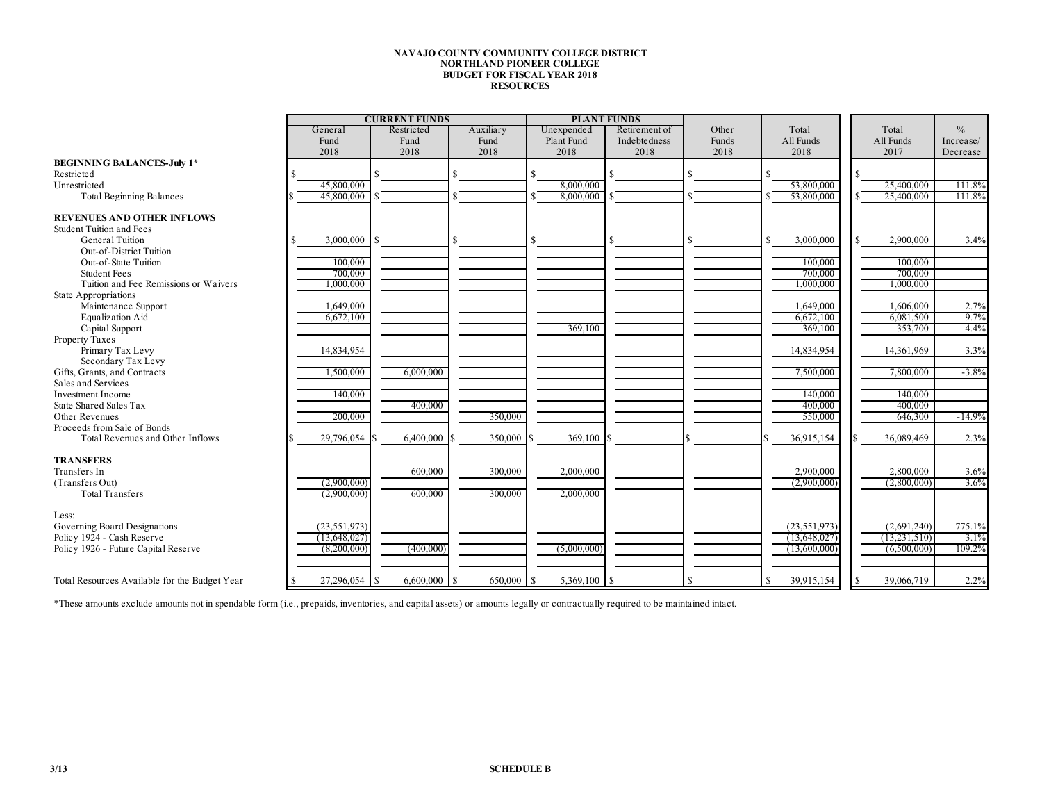## **NAVAJO COUNTY COMMUNITY COLLEGE DISTRICT NORTHLAND PIONEER COLLEGE BUDGET FOR FISCAL YEAR 2018 RESOURCES**

|                                               |                       | <b>CURRENT FUNDS</b> |           |             | <b>PLANT FUNDS</b> |       |                |                 |               |
|-----------------------------------------------|-----------------------|----------------------|-----------|-------------|--------------------|-------|----------------|-----------------|---------------|
|                                               | Restricted<br>General |                      | Auxiliary | Unexpended  | Retirement of      | Other | Total          | Total           | $\frac{0}{0}$ |
|                                               | Fund                  | Fund                 | Fund      | Plant Fund  | Indebtedness       | Funds | All Funds      | All Funds       | Increase/     |
|                                               | 2018                  | 2018                 | 2018      | 2018        | 2018               | 2018  | 2018           | 2017            | Decrease      |
| <b>BEGINNING BALANCES-July 1*</b>             |                       |                      |           |             |                    |       |                |                 |               |
| Restricted                                    |                       |                      | S.        | \$          | ¢                  |       | \$.            | £.              |               |
| Unrestricted                                  | 45,800,000            |                      |           | 8,000,000   |                    |       | 53,800,000     | 25,400,000      | 111.8%        |
| <b>Total Beginning Balances</b>               | 45,800,000            |                      |           | 8,000,000   |                    |       | 53,800,000     | 25,400,000      | 111.8%        |
|                                               |                       |                      |           |             |                    |       |                |                 |               |
| <b>REVENUES AND OTHER INFLOWS</b>             |                       |                      |           |             |                    |       |                |                 |               |
| <b>Student Tuition and Fees</b>               |                       |                      |           |             |                    |       |                |                 |               |
| <b>General Tuition</b>                        | 3,000,000             | <sup>\$</sup>        |           |             |                    |       | 3,000,000      | 2,900,000<br>£. | 3.4%          |
| Out-of-District Tuition                       |                       |                      |           |             |                    |       |                |                 |               |
| Out-of-State Tuition                          | 100,000               |                      |           |             |                    |       | 100.000        | 100,000         |               |
| <b>Student Fees</b>                           | 700,000               |                      |           |             |                    |       | 700,000        | 700,000         |               |
| Tuition and Fee Remissions or Waivers         | 1,000,000             |                      |           |             |                    |       | 1,000,000      | 1,000,000       |               |
| State Appropriations                          |                       |                      |           |             |                    |       |                |                 |               |
| Maintenance Support                           | 1,649,000             |                      |           |             |                    |       | 1,649,000      | 1,606,000       | 2.7%          |
| Equalization Aid                              | 6,672,100             |                      |           |             |                    |       | 6,672,100      | 6,081,500       | 9.7%          |
| Capital Support                               |                       |                      |           | 369,100     |                    |       | 369,100        | 353,700         | 4.4%          |
| Property Taxes                                |                       |                      |           |             |                    |       |                |                 |               |
| Primary Tax Levy                              | 14,834,954            |                      |           |             |                    |       | 14,834,954     | 14,361,969      | 3.3%          |
| Secondary Tax Levy                            |                       |                      |           |             |                    |       |                |                 |               |
| Gifts, Grants, and Contracts                  | 1,500,000             | 6,000,000            |           |             |                    |       | 7,500,000      | 7,800,000       | $-3.8\%$      |
| Sales and Services                            |                       |                      |           |             |                    |       |                |                 |               |
| <b>Investment Income</b>                      | 140,000               |                      |           |             |                    |       | 140,000        | 140,000         |               |
| State Shared Sales Tax                        |                       | 400,000              |           |             |                    |       | 400,000        | 400,000         |               |
| Other Revenues                                | 200,000               |                      | 350,000   |             |                    |       | 550,000        | 646,300         | $-14.9%$      |
| Proceeds from Sale of Bonds                   |                       |                      |           |             |                    |       |                |                 |               |
| Total Revenues and Other Inflows              | 29,796,054 \$         | 6,400,000            | 350,000   | 369,100     |                    |       | 36,915,154     | 36.089.469      | 2.3%          |
|                                               |                       |                      |           |             |                    |       |                |                 |               |
| <b>TRANSFERS</b>                              |                       |                      |           |             |                    |       |                |                 |               |
| Transfers In                                  |                       | 600,000              | 300,000   | 2,000,000   |                    |       | 2,900,000      | 2,800,000       | 3.6%          |
| (Transfers Out)                               | (2,900,000)           |                      |           |             |                    |       | (2,900,000)    | (2,800,000)     | 3.6%          |
| <b>Total Transfers</b>                        | (2,900,000)           | 600,000              | 300,000   | 2,000,000   |                    |       |                |                 |               |
|                                               |                       |                      |           |             |                    |       |                |                 |               |
| Less:                                         |                       |                      |           |             |                    |       |                |                 |               |
| Governing Board Designations                  | (23, 551, 973)        |                      |           |             |                    |       | (23, 551, 973) | (2,691,240)     | 775.1%        |
| Policy 1924 - Cash Reserve                    | (13, 648, 027)        |                      |           |             |                    |       | (13.648.027)   | (13.231.510)    | $3.1\%$       |
| Policy 1926 - Future Capital Reserve          | (8,200,000)           | (400,000)            |           | (5,000,000) |                    |       | (13,600,000)   | (6,500,000)     | 109.2%        |
|                                               |                       |                      |           |             |                    |       |                |                 |               |
|                                               |                       |                      |           |             |                    |       |                |                 |               |
| Total Resources Available for the Budget Year | 27,296,054 \$         |                      | 650,000   |             |                    |       | 39,915,154     | 39,066,719      | 2.2%          |

\*These amounts exclude amounts not in spendable form (i.e., prepaids, inventories, and capital assets) or amounts legally or contractually required to be maintained intact.